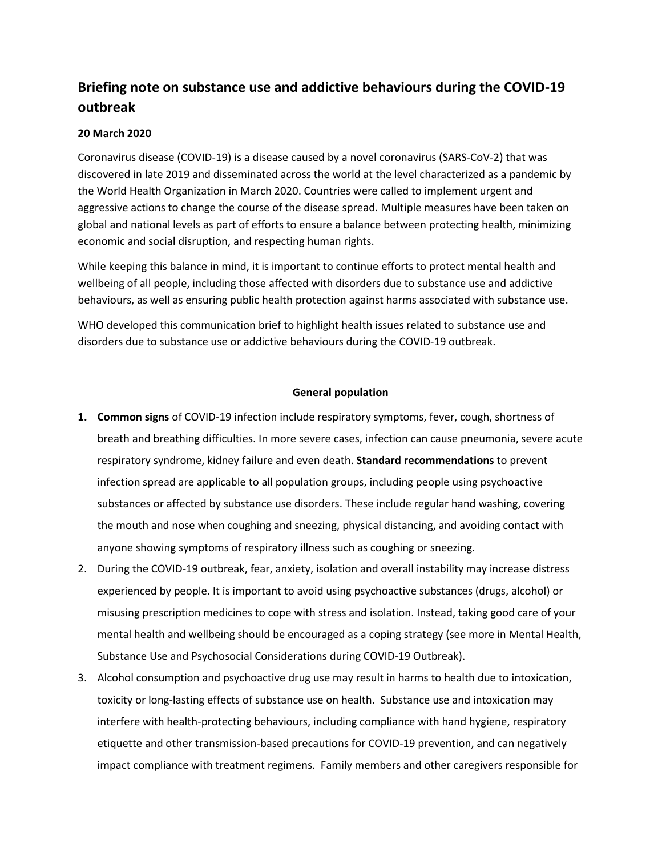# **Briefing note on substance use and addictive behaviours during the COVID-19 outbreak**

## **20 March 2020**

Coronavirus disease (COVID-19) is a disease caused by a novel coronavirus (SARS-CoV-2) that was discovered in late 2019 and disseminated across the world at the level characterized as a pandemic by the World Health Organization in March 2020. Countries were called to implement urgent and aggressive actions to change the course of the disease spread. Multiple measures have been taken on global and national levels as part of efforts to ensure a balance between protecting health, minimizing economic and social disruption, and respecting human rights.

While keeping this balance in mind, it is important to continue efforts to protect mental health and wellbeing of all people, including those affected with disorders due to substance use and addictive behaviours, as well as ensuring public health protection against harms associated with substance use.

WHO developed this communication brief to highlight health issues related to substance use and disorders due to substance use or addictive behaviours during the COVID-19 outbreak.

### **General population**

- **1. Common signs** of COVID-19 infection include respiratory symptoms, fever, cough, shortness of breath and breathing difficulties. In more severe cases, infection can cause pneumonia, severe acute respiratory syndrome, kidney failure and even death. **Standard recommendations** to prevent infection spread are applicable to all population groups, including people using psychoactive substances or affected by substance use disorders. These include regular hand washing, covering the mouth and nose when coughing and sneezing, physical distancing, and avoiding contact with anyone showing symptoms of respiratory illness such as coughing or sneezing.
- 2. During the COVID-19 outbreak, fear, anxiety, isolation and overall instability may increase distress experienced by people. It is important to avoid using psychoactive substances (drugs, alcohol) or misusing prescription medicines to cope with stress and isolation. Instead, taking good care of your mental health and wellbeing should be encouraged as a coping strategy (see more in Mental Health, Substance Use and Psychosocial Considerations during COVID-19 Outbreak).
- 3. Alcohol consumption and psychoactive drug use may result in harms to health due to intoxication, toxicity or long-lasting effects of substance use on health. Substance use and intoxication may interfere with health-protecting behaviours, including compliance with hand hygiene, respiratory etiquette and other transmission-based precautions for COVID-19 prevention, and can negatively impact compliance with treatment regimens. Family members and other caregivers responsible for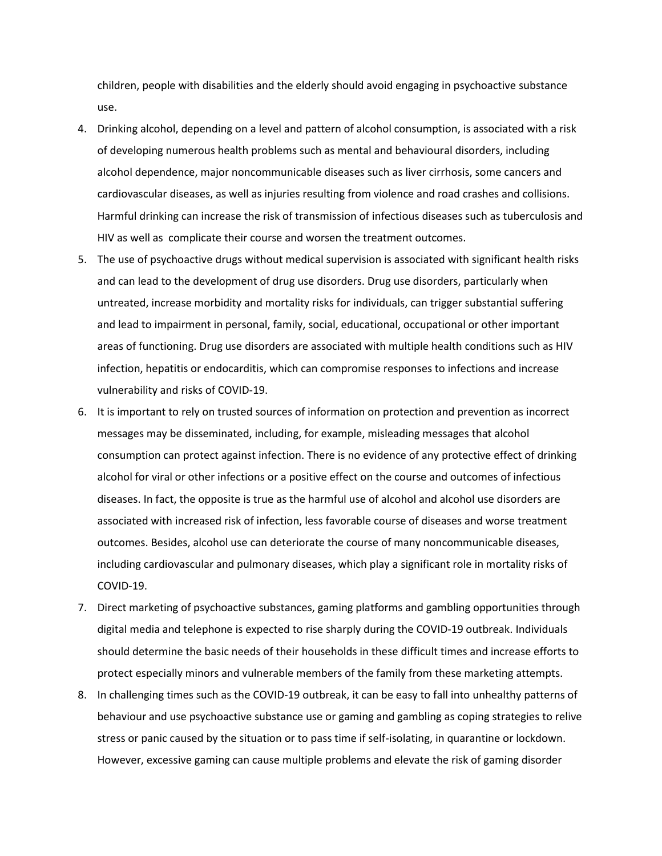children, people with disabilities and the elderly should avoid engaging in psychoactive substance use.

- 4. Drinking alcohol, depending on a level and pattern of alcohol consumption, is associated with a risk of developing numerous health problems such as mental and behavioural disorders, including alcohol dependence, major noncommunicable diseases such as liver cirrhosis, some cancers and cardiovascular diseases, as well as injuries resulting from violence and road crashes and collisions. Harmful drinking can increase the risk of transmission of infectious diseases such as tuberculosis and HIV as well as complicate their course and worsen the treatment outcomes.
- 5. The use of psychoactive drugs without medical supervision is associated with significant health risks and can lead to the development of drug use disorders. Drug use disorders, particularly when untreated, increase morbidity and mortality risks for individuals, can trigger substantial suffering and lead to impairment in personal, family, social, educational, occupational or other important areas of functioning. Drug use disorders are associated with multiple health conditions such as HIV infection, hepatitis or endocarditis, which can compromise responses to infections and increase vulnerability and risks of COVID-19.
- 6. It is important to rely on trusted sources of information on protection and prevention as incorrect messages may be disseminated, including, for example, misleading messages that alcohol consumption can protect against infection. There is no evidence of any protective effect of drinking alcohol for viral or other infections or a positive effect on the course and outcomes of infectious diseases. In fact, the opposite is true as the harmful use of alcohol and alcohol use disorders are associated with increased risk of infection, less favorable course of diseases and worse treatment outcomes. Besides, alcohol use can deteriorate the course of many noncommunicable diseases, including cardiovascular and pulmonary diseases, which play a significant role in mortality risks of COVID-19.
- 7. Direct marketing of psychoactive substances, gaming platforms and gambling opportunities through digital media and telephone is expected to rise sharply during the COVID-19 outbreak. Individuals should determine the basic needs of their households in these difficult times and increase efforts to protect especially minors and vulnerable members of the family from these marketing attempts.
- 8. In challenging times such as the COVID-19 outbreak, it can be easy to fall into unhealthy patterns of behaviour and use psychoactive substance use or gaming and gambling as coping strategies to relive stress or panic caused by the situation or to pass time if self-isolating, in quarantine or lockdown. However, excessive gaming can cause multiple problems and elevate the risk of gaming disorder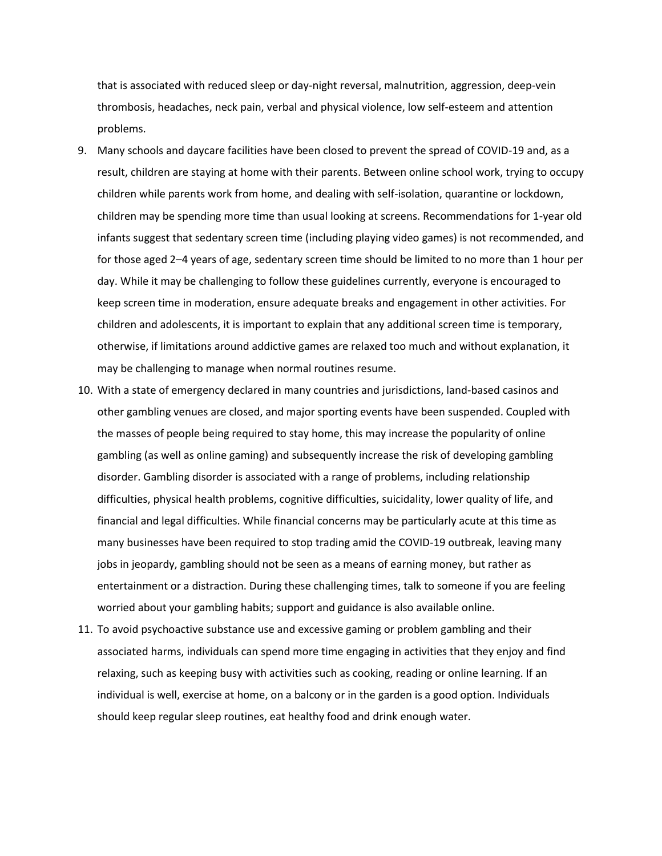that is associated with reduced sleep or day-night reversal, malnutrition, aggression, deep-vein thrombosis, headaches, neck pain, verbal and physical violence, low self-esteem and attention problems.

- 9. Many schools and daycare facilities have been closed to prevent the spread of COVID-19 and, as a result, children are staying at home with their parents. Between online school work, trying to occupy children while parents work from home, and dealing with self-isolation, quarantine or lockdown, children may be spending more time than usual looking at screens. Recommendations for 1-year old infants suggest that sedentary screen time (including playing video games) is not recommended, and for those aged 2–4 years of age, sedentary screen time should be limited to no more than 1 hour per day. While it may be challenging to follow these guidelines currently, everyone is encouraged to keep screen time in moderation, ensure adequate breaks and engagement in other activities. For children and adolescents, it is important to explain that any additional screen time is temporary, otherwise, if limitations around addictive games are relaxed too much and without explanation, it may be challenging to manage when normal routines resume.
- 10. With a state of emergency declared in many countries and jurisdictions, land-based casinos and other gambling venues are closed, and major sporting events have been suspended. Coupled with the masses of people being required to stay home, this may increase the popularity of online gambling (as well as online gaming) and subsequently increase the risk of developing gambling disorder. Gambling disorder is associated with a range of problems, including relationship difficulties, physical health problems, cognitive difficulties, suicidality, lower quality of life, and financial and legal difficulties. While financial concerns may be particularly acute at this time as many businesses have been required to stop trading amid the COVID-19 outbreak, leaving many jobs in jeopardy, gambling should not be seen as a means of earning money, but rather as entertainment or a distraction. During these challenging times, talk to someone if you are feeling worried about your gambling habits; support and guidance is also available online.
- 11. To avoid psychoactive substance use and excessive gaming or problem gambling and their associated harms, individuals can spend more time engaging in activities that they enjoy and find relaxing, such as keeping busy with activities such as cooking, reading or online learning. If an individual is well, exercise at home, on a balcony or in the garden is a good option. Individuals should keep regular sleep routines, eat healthy food and drink enough water.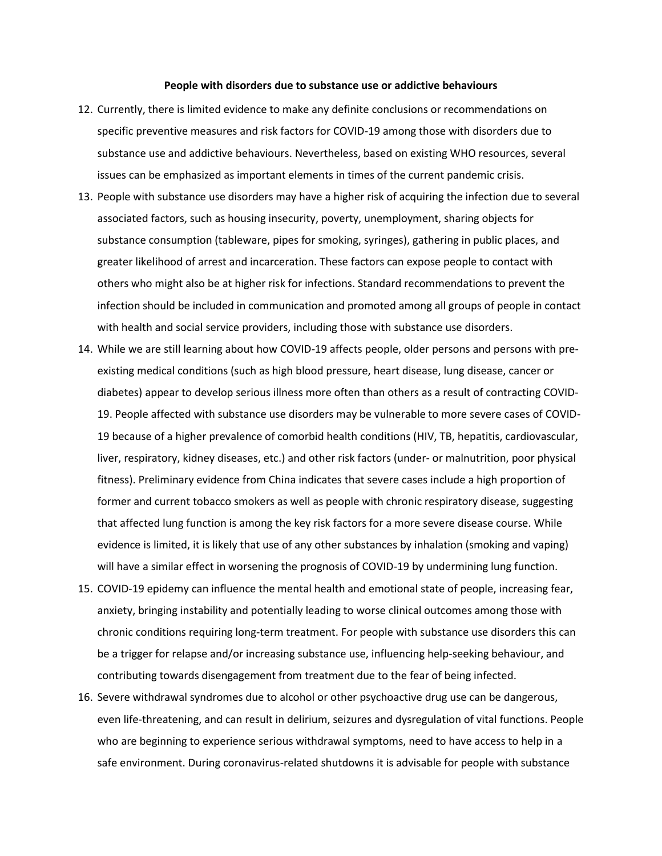#### **People with disorders due to substance use or addictive behaviours**

- 12. Currently, there is limited evidence to make any definite conclusions or recommendations on specific preventive measures and risk factors for COVID-19 among those with disorders due to substance use and addictive behaviours. Nevertheless, based on existing WHO resources, several issues can be emphasized as important elements in times of the current pandemic crisis.
- 13. People with substance use disorders may have a higher risk of acquiring the infection due to several associated factors, such as housing insecurity, poverty, unemployment, sharing objects for substance consumption (tableware, pipes for smoking, syringes), gathering in public places, and greater likelihood of arrest and incarceration. These factors can expose people to contact with others who might also be at higher risk for infections. Standard recommendations to prevent the infection should be included in communication and promoted among all groups of people in contact with health and social service providers, including those with substance use disorders.
- 14. While we are still learning about how COVID-19 affects people, older persons and persons with preexisting medical conditions (such as high blood pressure, heart disease, lung disease, cancer or diabetes) appear to develop serious illness more often than others as a result of contracting COVID-19. People affected with substance use disorders may be vulnerable to more severe cases of COVID-19 because of a higher prevalence of comorbid health conditions (HIV, TB, hepatitis, cardiovascular, liver, respiratory, kidney diseases, etc.) and other risk factors (under- or malnutrition, poor physical fitness). Preliminary evidence from China indicates that severe cases include a high proportion of former and current tobacco smokers as well as people with chronic respiratory disease, suggesting that affected lung function is among the key risk factors for a more severe disease course. While evidence is limited, it is likely that use of any other substances by inhalation (smoking and vaping) will have a similar effect in worsening the prognosis of COVID-19 by undermining lung function.
- 15. COVID-19 epidemy can influence the mental health and emotional state of people, increasing fear, anxiety, bringing instability and potentially leading to worse clinical outcomes among those with chronic conditions requiring long-term treatment. For people with substance use disorders this can be a trigger for relapse and/or increasing substance use, influencing help-seeking behaviour, and contributing towards disengagement from treatment due to the fear of being infected.
- 16. Severe withdrawal syndromes due to alcohol or other psychoactive drug use can be dangerous, even life-threatening, and can result in delirium, seizures and dysregulation of vital functions. People who are beginning to experience serious withdrawal symptoms, need to have access to help in a safe environment. During coronavirus-related shutdowns it is advisable for people with substance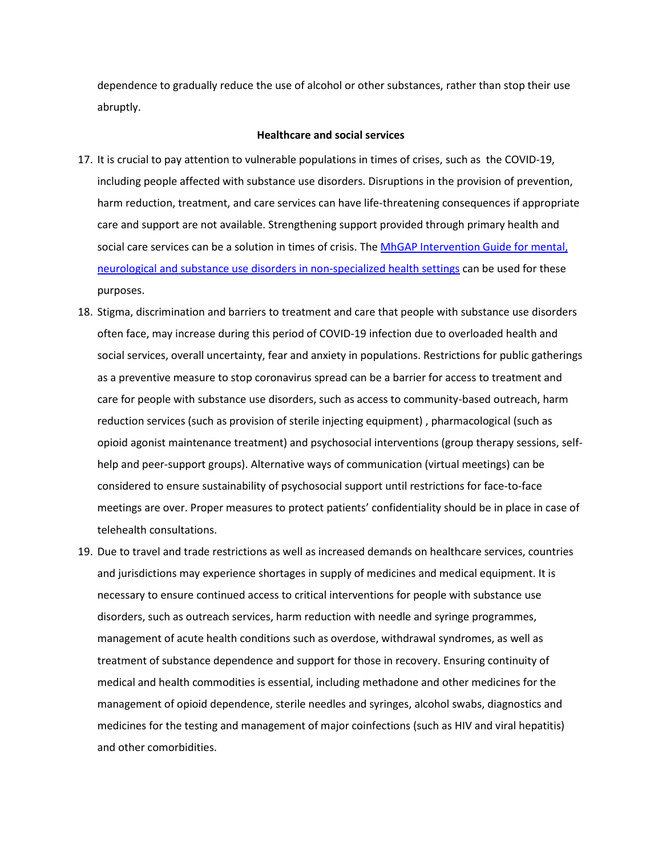dependence to gradually reduce the use of alcohol or other substances, rather than stop their use abruptly.

#### **Healthcare and social services**

- 17. It is crucial to pay attention to vulnerable populations in times of crises, such as the COVID-19, including people affected with substance use disorders. Disruptions in the provision of prevention, harm reduction, treatment, and care services can have life-threatening consequences if appropriate care and support are not available. Strengthening support provided through primary health and social care services can be a solution in times of crisis. The MhGAP Intervention Guide for mental, [neurological and substance use disorders in non-specialized health settings](https://www.who.int/publications-detail/mhgap-intervention-guide---version-2.0) can be used for these purposes.
- 18. Stigma, discrimination and barriers to treatment and care that people with substance use disorders often face, may increase during this period of COVID-19 infection due to overloaded health and social services, overall uncertainty, fear and anxiety in populations. Restrictions for public gatherings as a preventive measure to stop coronavirus spread can be a barrier for access to treatment and care for people with substance use disorders, such as access to community-based outreach, harm reduction services (such as provision of sterile injecting equipment) , pharmacological (such as opioid agonist maintenance treatment) and psychosocial interventions (group therapy sessions, selfhelp and peer-support groups). Alternative ways of communication (virtual meetings) can be considered to ensure sustainability of psychosocial support until restrictions for face-to-face meetings are over. Proper measures to protect patients' confidentiality should be in place in case of telehealth consultations.
- 19. Due to travel and trade restrictions as well as increased demands on healthcare services, countries and jurisdictions may experience shortages in supply of medicines and medical equipment. It is necessary to ensure continued access to critical interventions for people with substance use disorders, such as outreach services, harm reduction with needle and syringe programmes, management of acute health conditions such as overdose, withdrawal syndromes, as well as treatment of substance dependence and support for those in recovery. Ensuring continuity of medical and health commodities is essential, including methadone and other medicines for the management of opioid dependence, sterile needles and syringes, alcohol swabs, diagnostics and medicines for the testing and management of major coinfections (such as HIV and viral hepatitis) and other comorbidities.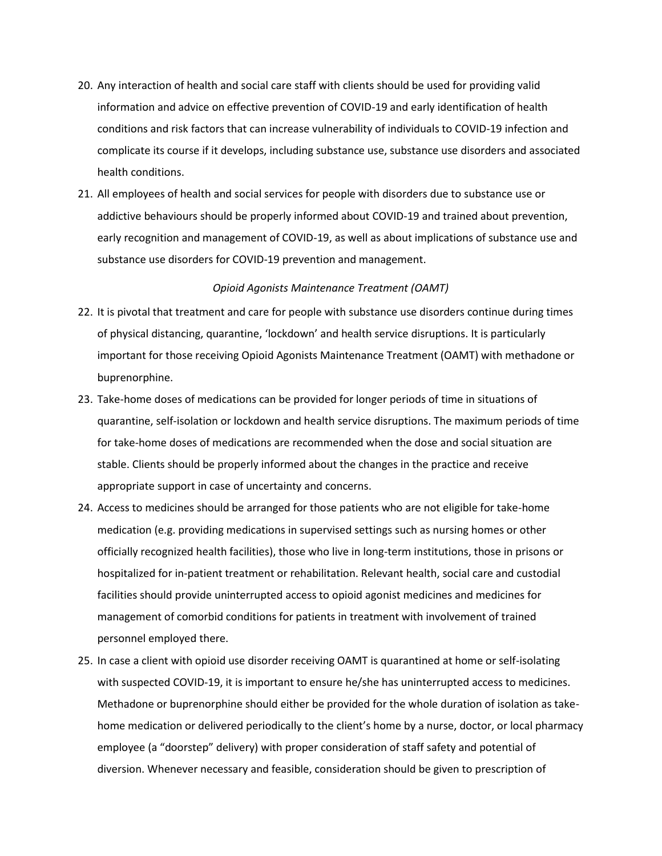- 20. Any interaction of health and social care staff with clients should be used for providing valid information and advice on effective prevention of COVID-19 and early identification of health conditions and risk factors that can increase vulnerability of individuals to COVID-19 infection and complicate its course if it develops, including substance use, substance use disorders and associated health conditions.
- 21. All employees of health and social services for people with disorders due to substance use or addictive behaviours should be properly informed about COVID-19 and trained about prevention, early recognition and management of COVID-19, as well as about implications of substance use and substance use disorders for COVID-19 prevention and management.

#### *Opioid Agonists Maintenance Treatment (OAMT)*

- 22. It is pivotal that treatment and care for people with substance use disorders continue during times of physical distancing, quarantine, 'lockdown' and health service disruptions. It is particularly important for those receiving Opioid Agonists Maintenance Treatment (OAMT) with methadone or buprenorphine.
- 23. Take-home doses of medications can be provided for longer periods of time in situations of quarantine, self-isolation or lockdown and health service disruptions. The maximum periods of time for take-home doses of medications are recommended when the dose and social situation are stable. Clients should be properly informed about the changes in the practice and receive appropriate support in case of uncertainty and concerns.
- 24. Access to medicines should be arranged for those patients who are not eligible for take-home medication (e.g. providing medications in supervised settings such as nursing homes or other officially recognized health facilities), those who live in long-term institutions, those in prisons or hospitalized for in-patient treatment or rehabilitation. Relevant health, social care and custodial facilities should provide uninterrupted access to opioid agonist medicines and medicines for management of comorbid conditions for patients in treatment with involvement of trained personnel employed there.
- 25. In case a client with opioid use disorder receiving OAMT is quarantined at home or self-isolating with suspected COVID-19, it is important to ensure he/she has uninterrupted access to medicines. Methadone or buprenorphine should either be provided for the whole duration of isolation as takehome medication or delivered periodically to the client's home by a nurse, doctor, or local pharmacy employee (a "doorstep" delivery) with proper consideration of staff safety and potential of diversion. Whenever necessary and feasible, consideration should be given to prescription of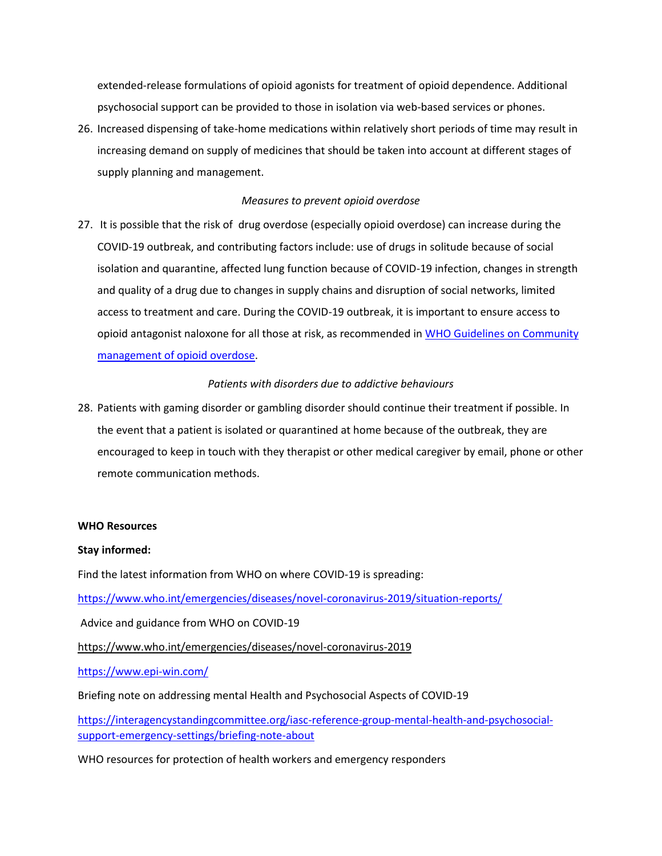extended-release formulations of opioid agonists for treatment of opioid dependence. Additional psychosocial support can be provided to those in isolation via web-based services or phones.

26. Increased dispensing of take-home medications within relatively short periods of time may result in increasing demand on supply of medicines that should be taken into account at different stages of supply planning and management.

### *Measures to prevent opioid overdose*

27. It is possible that the risk of drug overdose (especially opioid overdose) can increase during the COVID-19 outbreak, and contributing factors include: use of drugs in solitude because of social isolation and quarantine, affected lung function because of COVID-19 infection, changes in strength and quality of a drug due to changes in supply chains and disruption of social networks, limited access to treatment and care. During the COVID-19 outbreak, it is important to ensure access to opioid antagonist naloxone for all those at risk, as recommended in WHO Guidelines on Community [management of opioid overdose.](https://apps.who.int/iris/bitstream/handle/10665/137462/9789241548816_eng.pdf?sequence=1&isAllowed=y)

### *Patients with disorders due to addictive behaviours*

28. Patients with gaming disorder or gambling disorder should continue their treatment if possible. In the event that a patient is isolated or quarantined at home because of the outbreak, they are encouraged to keep in touch with they therapist or other medical caregiver by email, phone or other remote communication methods.

### **WHO Resources**

### **Stay informed:**

Find the latest information from WHO on where COVID-19 is spreading:

<https://www.who.int/emergencies/diseases/novel-coronavirus-2019/situation-reports/>

Advice and guidance from WHO on COVID-19

<https://www.who.int/emergencies/diseases/novel-coronavirus-2019>

<https://www.epi-win.com/>

Briefing note on addressing mental Health and Psychosocial Aspects of COVID-19

[https://interagencystandingcommittee.org/iasc-reference-group-mental-health-and-psychosocial](https://interagencystandingcommittee.org/iasc-reference-group-mental-health-and-psychosocial-support-emergency-settings/briefing-note-about)[support-emergency-settings/briefing-note-about](https://interagencystandingcommittee.org/iasc-reference-group-mental-health-and-psychosocial-support-emergency-settings/briefing-note-about)

WHO resources for protection of health workers and emergency responders